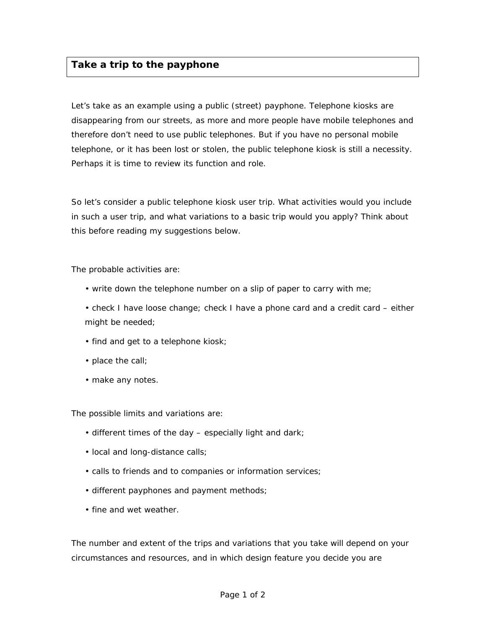## **Take a trip to the payphone**

Let's take as an example using a public (street) payphone. Telephone kiosks are disappearing from our streets, as more and more people have mobile telephones and therefore don't need to use public telephones. But if you have no personal mobile telephone, or it has been lost or stolen, the public telephone kiosk is still a necessity. Perhaps it is time to review its function and role.

So let's consider a public telephone kiosk user trip. What activities would you include in such a user trip, and what variations to a basic trip would you apply? Think about this before reading my suggestions below.

The probable activities are:

- write down the telephone number on a slip of paper to carry with me;
- check I have loose change; check I have a phone card and a credit card either might be needed;
- find and get to a telephone kiosk;
- place the call;
- make any notes.

The possible limits and variations are:

- different times of the day especially light and dark;
- local and long-distance calls;
- calls to friends and to companies or information services;
- different payphones and payment methods;
- fine and wet weather.

The number and extent of the trips and variations that you take will depend on your circumstances and resources, and in which design feature you decide you are